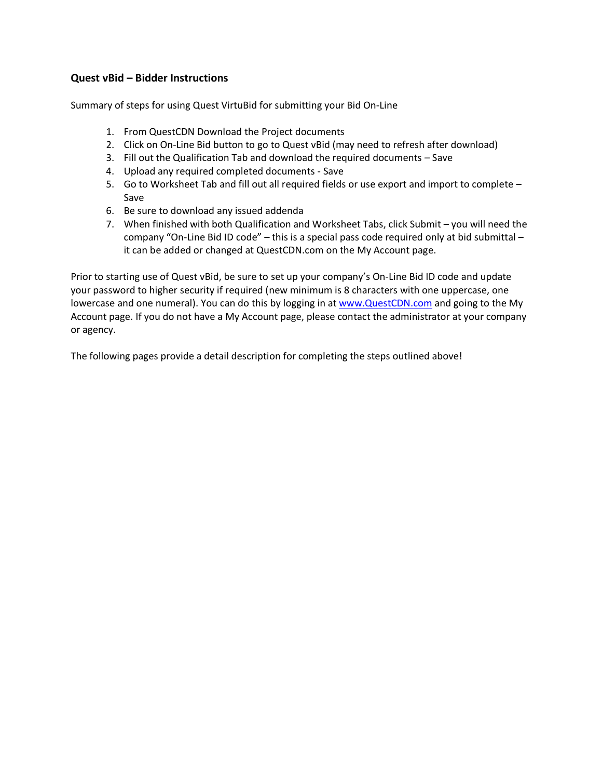## **Quest vBid – Bidder Instructions**

Summary of steps for using Quest VirtuBid for submitting your Bid On-Line

- 1. From QuestCDN Download the Project documents
- 2. Click on On-Line Bid button to go to Quest vBid (may need to refresh after download)
- 3. Fill out the Qualification Tab and download the required documents Save
- 4. Upload any required completed documents Save
- 5. Go to Worksheet Tab and fill out all required fields or use export and import to complete Save
- 6. Be sure to download any issued addenda
- 7. When finished with both Qualification and Worksheet Tabs, click Submit you will need the company "On-Line Bid ID code" – this is a special pass code required only at bid submittal – it can be added or changed at QuestCDN.com on the My Account page.

Prior to starting use of Quest vBid, be sure to set up your company's On-Line Bid ID code and update your password to higher security if required (new minimum is 8 characters with one uppercase, one lowercase and one numeral). You can do this by logging in at [www.QuestCDN.com](http://www.questcdn.com/) and going to the My Account page. If you do not have a My Account page, please contact the administrator at your company or agency.

The following pages provide a detail description for completing the steps outlined above!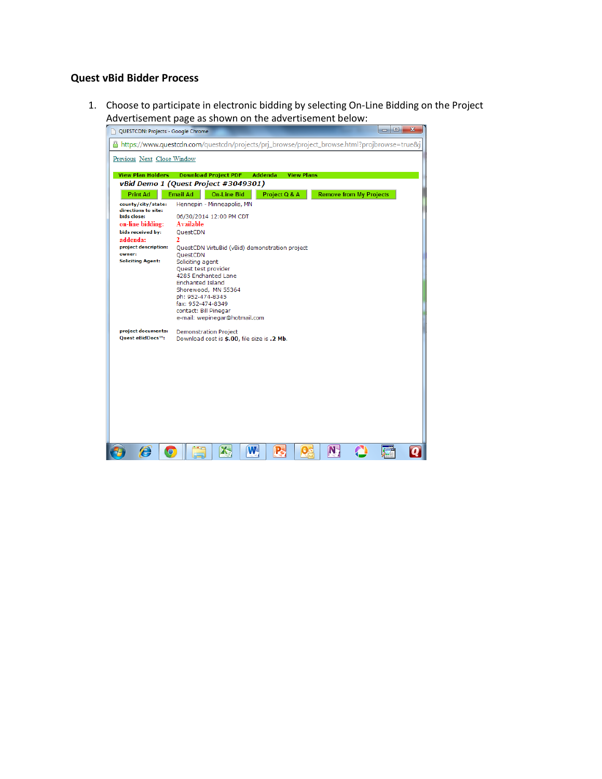## **Quest vBid Bidder Process**

1. Choose to participate in electronic bidding by selecting On-Line Bidding on the Project Advertisement page as shown on the advertisement below:

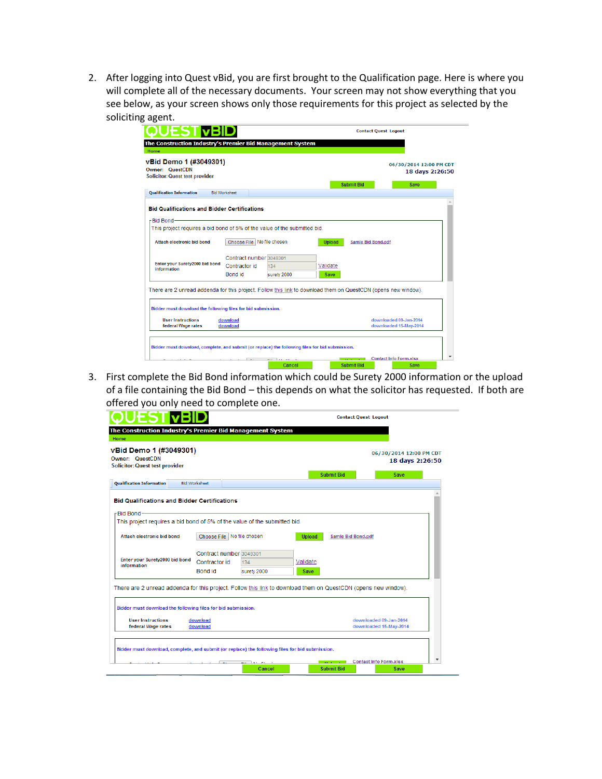2. After logging into Quest vBid, you are first brought to the Qualification page. Here is where you will complete all of the necessary documents. Your screen may not show everything that you see below, as your screen shows only those requirements for this project as selected by the soliciting agent.

| Owner: QuestCDN<br><b>Solicitor: Quest test provider</b><br><b>Submit Bid</b><br>Save<br><b>Bid Worksheet</b><br><b>Qualification Information</b><br><b>Bid Qualifications and Bidder Certifications</b><br>-Bid Bond-<br>This project requires a bid bond of 5% of the value of the submitted bid.<br>Choose File   No file chosen<br>Attach electronic bid bond<br><b>Upload</b><br>Samle Bid Bond.pdf<br>Contract number 3049301<br>Enter your Surety2000 bid bond<br>Contractor id<br>Validate<br>134<br>information<br>Bond id<br>surety 2000<br>Save<br>There are 2 unread addenda for this project. Follow this link to download them on QuestCDN (opens new window).<br>Bidder must download the following files for bid submission.<br><b>User Instructions</b><br>download<br>downloaded 09-Jan-2014<br>federal Wage rates<br>download<br>downloaded 15-May-2014 | The Construction Industry's Premier Bid Management System<br>Home<br>vBid Demo 1 (#3049301) |  |  |                                            |
|----------------------------------------------------------------------------------------------------------------------------------------------------------------------------------------------------------------------------------------------------------------------------------------------------------------------------------------------------------------------------------------------------------------------------------------------------------------------------------------------------------------------------------------------------------------------------------------------------------------------------------------------------------------------------------------------------------------------------------------------------------------------------------------------------------------------------------------------------------------------------|---------------------------------------------------------------------------------------------|--|--|--------------------------------------------|
|                                                                                                                                                                                                                                                                                                                                                                                                                                                                                                                                                                                                                                                                                                                                                                                                                                                                            |                                                                                             |  |  | 06/30/2014 12:00 PM CDT<br>18 days 2:26:50 |
|                                                                                                                                                                                                                                                                                                                                                                                                                                                                                                                                                                                                                                                                                                                                                                                                                                                                            |                                                                                             |  |  |                                            |
|                                                                                                                                                                                                                                                                                                                                                                                                                                                                                                                                                                                                                                                                                                                                                                                                                                                                            |                                                                                             |  |  |                                            |
|                                                                                                                                                                                                                                                                                                                                                                                                                                                                                                                                                                                                                                                                                                                                                                                                                                                                            |                                                                                             |  |  |                                            |
|                                                                                                                                                                                                                                                                                                                                                                                                                                                                                                                                                                                                                                                                                                                                                                                                                                                                            |                                                                                             |  |  |                                            |
|                                                                                                                                                                                                                                                                                                                                                                                                                                                                                                                                                                                                                                                                                                                                                                                                                                                                            |                                                                                             |  |  |                                            |
|                                                                                                                                                                                                                                                                                                                                                                                                                                                                                                                                                                                                                                                                                                                                                                                                                                                                            |                                                                                             |  |  |                                            |
|                                                                                                                                                                                                                                                                                                                                                                                                                                                                                                                                                                                                                                                                                                                                                                                                                                                                            |                                                                                             |  |  |                                            |
|                                                                                                                                                                                                                                                                                                                                                                                                                                                                                                                                                                                                                                                                                                                                                                                                                                                                            |                                                                                             |  |  |                                            |
|                                                                                                                                                                                                                                                                                                                                                                                                                                                                                                                                                                                                                                                                                                                                                                                                                                                                            |                                                                                             |  |  |                                            |
|                                                                                                                                                                                                                                                                                                                                                                                                                                                                                                                                                                                                                                                                                                                                                                                                                                                                            |                                                                                             |  |  |                                            |
|                                                                                                                                                                                                                                                                                                                                                                                                                                                                                                                                                                                                                                                                                                                                                                                                                                                                            |                                                                                             |  |  |                                            |
|                                                                                                                                                                                                                                                                                                                                                                                                                                                                                                                                                                                                                                                                                                                                                                                                                                                                            |                                                                                             |  |  |                                            |
|                                                                                                                                                                                                                                                                                                                                                                                                                                                                                                                                                                                                                                                                                                                                                                                                                                                                            |                                                                                             |  |  |                                            |
|                                                                                                                                                                                                                                                                                                                                                                                                                                                                                                                                                                                                                                                                                                                                                                                                                                                                            |                                                                                             |  |  |                                            |
|                                                                                                                                                                                                                                                                                                                                                                                                                                                                                                                                                                                                                                                                                                                                                                                                                                                                            |                                                                                             |  |  |                                            |
|                                                                                                                                                                                                                                                                                                                                                                                                                                                                                                                                                                                                                                                                                                                                                                                                                                                                            |                                                                                             |  |  |                                            |
|                                                                                                                                                                                                                                                                                                                                                                                                                                                                                                                                                                                                                                                                                                                                                                                                                                                                            |                                                                                             |  |  |                                            |
| Bidder must download, complete, and submit (or replace) the following files for bid submission.                                                                                                                                                                                                                                                                                                                                                                                                                                                                                                                                                                                                                                                                                                                                                                            |                                                                                             |  |  |                                            |

 3. First complete the Bid Bond information which could be Surety 2000 information or the upload of a file containing the Bid Bond – this depends on what the solicitor has requested. If both are offered you only need to complete one. \*\*



\*\* Note: City of Middleton does not support Surety 2000 service at this time.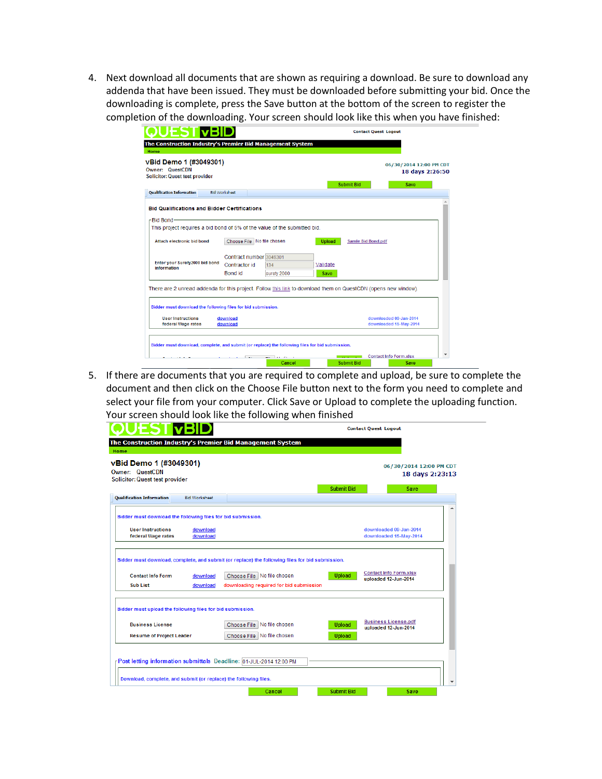4. Next download all documents that are shown as requiring a download. Be sure to download any addenda that have been issued. They must be downloaded before submitting your bid. Once the downloading is complete, press the Save button at the bottom of the screen to register the completion of the downloading. Your screen should look like this when you have finished:

| JES II VBI                                                                                                                                      |                      |                                          |                    |                  |               |                                         | <b>Contact Quest Logout</b>                      |      |                                            |
|-------------------------------------------------------------------------------------------------------------------------------------------------|----------------------|------------------------------------------|--------------------|------------------|---------------|-----------------------------------------|--------------------------------------------------|------|--------------------------------------------|
| The Construction Industry's Premier Bid Management System<br>Home                                                                               |                      |                                          |                    |                  |               |                                         |                                                  |      |                                            |
| vBid Demo 1 (#3049301)<br>Owner: QuestCDN<br><b>Solicitor: Quest test provider</b>                                                              |                      |                                          |                    |                  |               | <b>Submit Bid</b>                       |                                                  | Save | 06/30/2014 12:00 PM CDT<br>18 days 2:26:50 |
| <b>Qualification Information</b>                                                                                                                | <b>Bid Worksheet</b> |                                          |                    |                  |               |                                         |                                                  |      |                                            |
| <b>Bid Qualifications and Bidder Certifications</b><br>- Bid Bond-<br>This project requires a bid bond of 5% of the value of the submitted bid. |                      |                                          |                    |                  |               |                                         |                                                  |      |                                            |
| Attach electronic bid bond                                                                                                                      |                      | Choose File   No file chosen             |                    |                  | <b>Upload</b> | Samle Bid Bond.pdf                      |                                                  |      |                                            |
| Enter your Surety2000 bid bond<br>information                                                                                                   | <b>Bond</b> id       | Contract number 3049301<br>Contractor id | 134<br>surety 2000 | Validate<br>Save |               |                                         |                                                  |      |                                            |
| There are 2 unread addenda for this project. Follow this link to download them on QuestCDN (opens new window).                                  |                      |                                          |                    |                  |               |                                         |                                                  |      |                                            |
| Bidder must download the following files for bid submission.                                                                                    |                      |                                          |                    |                  |               |                                         |                                                  |      |                                            |
| <b>User Instructions</b><br>federal Wage rates                                                                                                  | download<br>download |                                          |                    |                  |               |                                         | downloaded 09-Jan-2014<br>downloaded 15-May-2014 |      |                                            |
| Bidder must download, complete, and submit (or replace) the following files for bid submission.                                                 |                      |                                          |                    |                  |               |                                         |                                                  |      |                                            |
|                                                                                                                                                 |                      |                                          | .<br>Cancel        |                  |               | the company's com-<br><b>Submit Bid</b> | <b>Contact Info Form.xlsx</b>                    | Save |                                            |

5. If there are documents that you are required to complete and upload, be sure to complete the document and then click on the Choose File button next to the form you need to complete and select your file from your computer. Click Save or Upload to complete the uploading function. Your screen should look like the following when finished

|                                                            |                                         |                                                              | 18 days 2:23:13                                                                                 |                        |
|------------------------------------------------------------|-----------------------------------------|--------------------------------------------------------------|-------------------------------------------------------------------------------------------------|------------------------|
|                                                            |                                         | <b>Submit Bid</b>                                            | Save                                                                                            |                        |
| <b>Bid Worksheet</b>                                       |                                         |                                                              |                                                                                                 |                        |
|                                                            |                                         |                                                              |                                                                                                 |                        |
| download                                                   |                                         |                                                              | downloaded 09-Jan-2014                                                                          |                        |
|                                                            |                                         |                                                              |                                                                                                 |                        |
| download                                                   |                                         |                                                              |                                                                                                 |                        |
|                                                            | Choose File   No file chosen            | <b>Upload</b>                                                | <b>Contact Info Form.xlsx</b><br>uploaded 12-Jun-2014                                           |                        |
| download                                                   | downloading required for bid submission |                                                              |                                                                                                 |                        |
| Bidder must upload the following files for bid submission. |                                         |                                                              |                                                                                                 |                        |
|                                                            | No file chosen<br>Choose File           | <b>Upload</b>                                                | <b>Business License.pdf</b><br>uploaded 12-Jun-2014                                             |                        |
|                                                            | download                                | Bidder must download the following files for bid submission. | Bidder must download, complete, and submit (or replace) the following files for bid submission. | downloaded 15-May-2014 |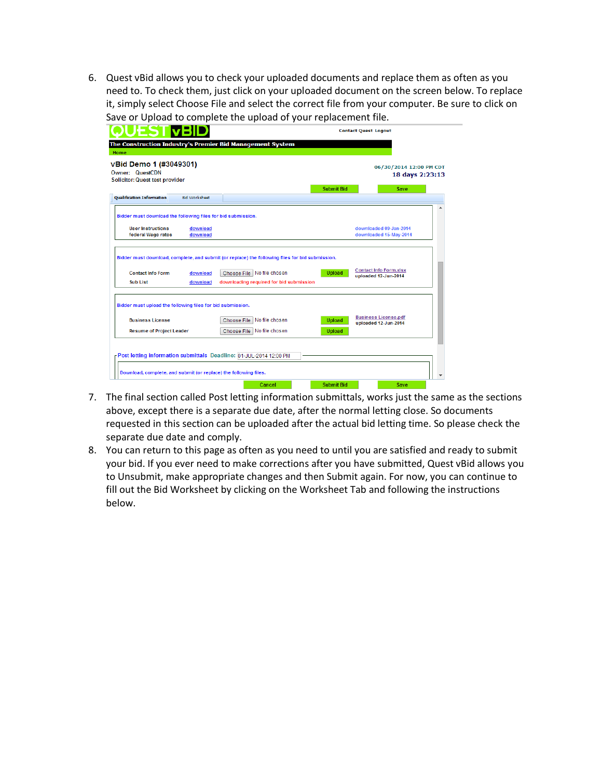6. Quest vBid allows you to check your uploaded documents and replace them as often as you need to. To check them, just click on your uploaded document on the screen below. To replace it, simply select Choose File and select the correct file from your computer. Be sure to click on Save or Upload to complete the upload of your replacement file.

| <b>vBid Demo 1 (#3049301)</b><br>Owner: QuestCDN<br><b>Solicitor: Quest test provider</b>     |                      | <b>Submit Bid</b>                                                                               | 06/30/2014 12:00 PM CDT<br>18 days 2:23:13            |
|-----------------------------------------------------------------------------------------------|----------------------|-------------------------------------------------------------------------------------------------|-------------------------------------------------------|
| <b>Oualification Information</b>                                                              | <b>Bid Worksheet</b> |                                                                                                 | Save                                                  |
| Bidder must download the following files for bid submission.                                  |                      |                                                                                                 |                                                       |
| <b>User Instructions</b><br>federal Wage rates                                                | download<br>download |                                                                                                 | downloaded 09-Jan-2014<br>downloaded 15-May-2014      |
|                                                                                               |                      | Bidder must download, complete, and submit (or replace) the following files for bid submission. |                                                       |
|                                                                                               | download             | Choose File   No file chosen<br><b>Upload</b>                                                   | <b>Contact Info Form.xlsx</b><br>uploaded 12-Jun-2014 |
| <b>Contact Info Form</b>                                                                      |                      |                                                                                                 |                                                       |
| <b>Sub List</b>                                                                               | download             | downloading required for bid submission                                                         |                                                       |
|                                                                                               |                      |                                                                                                 |                                                       |
| <b>Business License</b>                                                                       |                      | Choose File   No file chosen<br><b>Upload</b>                                                   | <b>Business License.pdf</b><br>uploaded 12-Jun-2014   |
| Bidder must upload the following files for bid submission.<br><b>Resume of Project Leader</b> |                      | Choose File No file chosen<br><b>Upload</b>                                                     |                                                       |

- 7. The final section called Post letting information submittals, works just the same as the sections above, except there is a separate due date, after the normal letting close. So documents requested in this section can be uploaded after the actual bid letting time. So please check the separate due date and comply.
- 8. You can return to this page as often as you need to until you are satisfied and ready to submit your bid. If you ever need to make corrections after you have submitted, Quest vBid allows you to Unsubmit, make appropriate changes and then Submit again. For now, you can continue to fill out the Bid Worksheet by clicking on the Worksheet Tab and following the instructions below.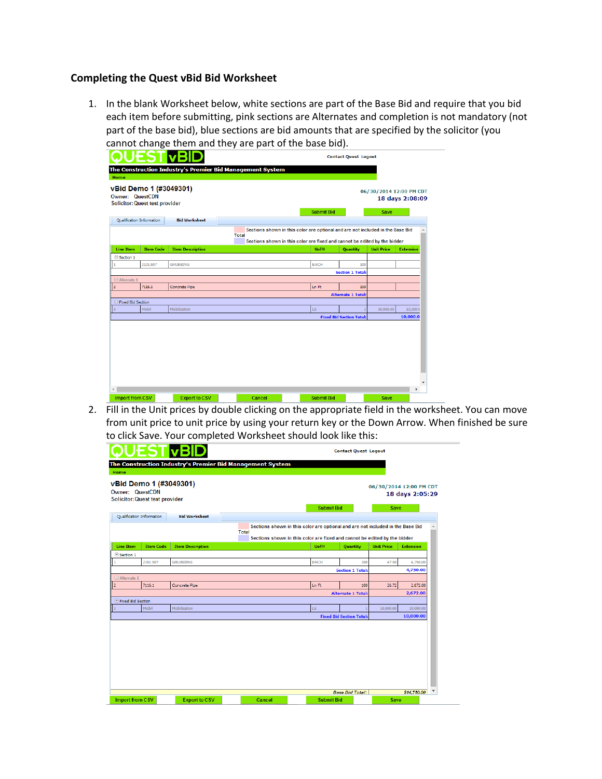## **Completing the Quest vBid Bid Worksheet**

1. In the blank Worksheet below, white sections are part of the Base Bid and require that you bid each item before submitting, pink sections are Alternates and completion is not mandatory (not part of the base bid), blue sections are bid amounts that are specified by the solicitor (you cannot change them and they are part of the base bid).

|                   | vBid Demo 1 (#3049301)<br><b>Owner: QuestCDN</b><br><b>Solicitor: Quest test provider</b> |                         |                                                                                                                                                                             | 06/30/2014 12:00 PM CDT | 18 days 2:08:09  |
|-------------------|-------------------------------------------------------------------------------------------|-------------------------|-----------------------------------------------------------------------------------------------------------------------------------------------------------------------------|-------------------------|------------------|
|                   | Qualification Information                                                                 | <b>Bid Worksheet</b>    | <b>Submit Bid</b>                                                                                                                                                           | Save                    |                  |
|                   |                                                                                           |                         | Sections shown in this color are optional and are not included in the Base Bid<br><b>Total</b><br>Sections shown in this color are fixed and cannot be edited by the bidder |                         |                  |
| <b>Line Item</b>  | <b>Item Code</b>                                                                          | <b>Item Description</b> | <b>UofM</b><br>Quantity                                                                                                                                                     | <b>Unit Price</b>       | <b>Extension</b> |
| Section 1         |                                                                                           |                         |                                                                                                                                                                             |                         |                  |
|                   | 2101.507                                                                                  | <b>GRUBBING</b>         | EACH<br>100                                                                                                                                                                 |                         |                  |
|                   |                                                                                           |                         | <b>Section 1 Total:</b>                                                                                                                                                     |                         |                  |
| □ Alternate 1     |                                                                                           |                         |                                                                                                                                                                             |                         |                  |
|                   | 7116.1                                                                                    | Concrete Pipe           | Ln Ft<br>100                                                                                                                                                                |                         |                  |
|                   |                                                                                           |                         | <b>Alternate 1 Total:</b>                                                                                                                                                   |                         |                  |
| Fixed Bid Section |                                                                                           |                         |                                                                                                                                                                             |                         |                  |
|                   | Mobil                                                                                     | Mobilization            | LS.                                                                                                                                                                         | 10,000.00               | 10,000.0         |
|                   |                                                                                           |                         | <b>Fixed Bid Section Total:</b>                                                                                                                                             |                         | 10,000.0         |

 2. Fill in the Unit prices by double clicking on the appropriate field in the worksheet. You can move from unit price to unit price by using your return key or the Down Arrow. When finished be sure to click Save. Your completed Worksheet should look like this:

| vBid Demo 1 (#3049301)<br><b>Owner: QuestCDN</b><br><b>Solicitor: Quest test provider</b> |                  |                         | <b>Submit Bid</b>                                                                                                                                                           |                                 | Save              | 06/30/2014 12:00 PM CDT<br>18 days 2:05:29 |
|-------------------------------------------------------------------------------------------|------------------|-------------------------|-----------------------------------------------------------------------------------------------------------------------------------------------------------------------------|---------------------------------|-------------------|--------------------------------------------|
| Qualification Information                                                                 |                  | <b>Bid Worksheet</b>    |                                                                                                                                                                             |                                 |                   |                                            |
|                                                                                           |                  |                         | Sections shown in this color are optional and are not included in the Base Bid<br><b>Total</b><br>Sections shown in this color are fixed and cannot be edited by the bidder |                                 |                   |                                            |
| <b>Line Item</b>                                                                          | <b>Item Code</b> | <b>Item Description</b> | <b>UofM</b>                                                                                                                                                                 | <b>Quantity</b>                 | <b>Unit Price</b> | <b>Extension</b>                           |
| Section 1                                                                                 |                  |                         |                                                                                                                                                                             |                                 |                   |                                            |
|                                                                                           | 2101.507         | <b>GRUBBING</b>         | <b>EACH</b>                                                                                                                                                                 | 100                             | 47.50             | 4,750.00                                   |
|                                                                                           |                  |                         |                                                                                                                                                                             | <b>Section 1 Total:</b>         |                   | 4,750.00                                   |
| $\Box$ Alternate 1                                                                        |                  |                         |                                                                                                                                                                             |                                 |                   |                                            |
| $\overline{2}$<br>7116.1                                                                  |                  | Concrete Pipe           | Ln Ft                                                                                                                                                                       | 100                             | 26.72             | 2,672.00                                   |
|                                                                                           |                  |                         |                                                                                                                                                                             | <b>Alternate 1 Total:</b>       |                   | 2,672.00                                   |
| E Fixed Bid Section<br>Mobil                                                              |                  |                         |                                                                                                                                                                             |                                 |                   |                                            |
|                                                                                           |                  | Mobilization            | LS.                                                                                                                                                                         | <b>Fixed Bid Section Total:</b> | 10,000.00         | 10,000,00<br>10,000.00                     |
|                                                                                           |                  |                         |                                                                                                                                                                             |                                 |                   |                                            |
|                                                                                           |                  |                         |                                                                                                                                                                             |                                 |                   |                                            |